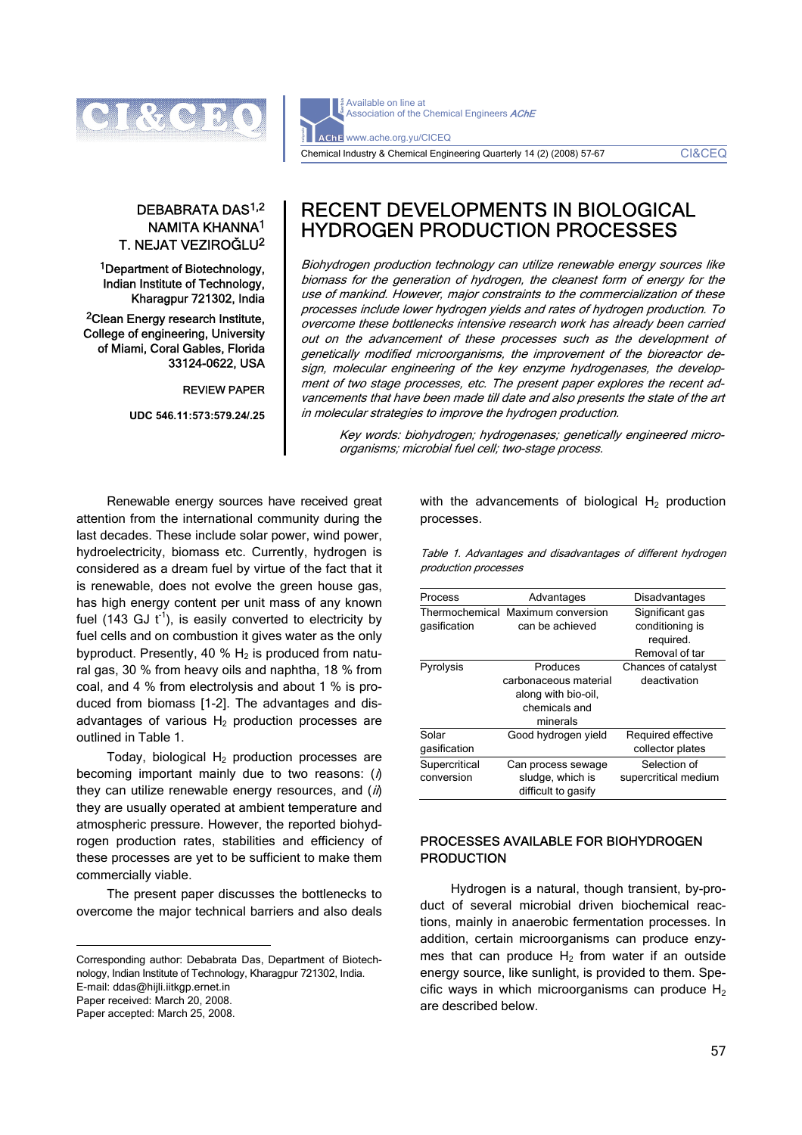

# DEBABRATA DAS1,2 NAMITA KHANNA1 T. NEJAT VEZIROĞLU2

1Department of Biotechnology, Indian Institute of Technology, Kharagpur 721302, India

2Clean Energy research Institute, College of engineering, University of Miami, Coral Gables, Florida 33124-0622, USA

REVIEW PAPER

**UDC 546.11:573:579.24/.25** 

Available on line at Association of the Chemical Engineers AChE AChE www.ache.org.yu/CICEQ Chemical Industry & Chemical Engineering Quarterly 14 (2) (2008) 57-67 CI&CEQ

# RECENT DEVELOPMENTS IN BIOLOGICAL HYDROGEN PRODUCTION PROCESSES

Biohydrogen production technology can utilize renewable energy sources like biomass for the generation of hydrogen, the cleanest form of energy for the use of mankind. However, major constraints to the commercialization of these processes include lower hydrogen yields and rates of hydrogen production. To overcome these bottlenecks intensive research work has already been carried out on the advancement of these processes such as the development of genetically modified microorganisms, the improvement of the bioreactor design, molecular engineering of the key enzyme hydrogenases, the development of two stage processes, etc. The present paper explores the recent advancements that have been made till date and also presents the state of the art in molecular strategies to improve the hydrogen production.

Key words: biohydrogen; hydrogenases; genetically engineered microorganisms; microbial fuel cell; two-stage process.

Renewable energy sources have received great attention from the international community during the last decades. These include solar power, wind power, hydroelectricity, biomass etc. Currently, hydrogen is considered as a dream fuel by virtue of the fact that it is renewable, does not evolve the green house gas, has high energy content per unit mass of any known fuel (143 GJ  $t^{-1}$ ), is easily converted to electricity by fuel cells and on combustion it gives water as the only byproduct. Presently, 40 %  $H_2$  is produced from natural gas, 30 % from heavy oils and naphtha, 18 % from coal, and 4 % from electrolysis and about 1 % is produced from biomass [1-2]. The advantages and disadvantages of various  $H<sub>2</sub>$  production processes are outlined in Table 1.

Today, biological  $H_2$  production processes are becoming important mainly due to two reasons:  $(i)$ they can utilize renewable energy resources, and  $(i)$ they are usually operated at ambient temperature and atmospheric pressure. However, the reported biohydrogen production rates, stabilities and efficiency of these processes are yet to be sufficient to make them commercially viable.

The present paper discusses the bottlenecks to overcome the major technical barriers and also deals

Corresponding author: Debabrata Das, Department of Biotechnology, Indian Institute of Technology, Kharagpur 721302, India. E-mail: ddas@hijli.iitkgp.ernet.in

Paper received: March 20, 2008.

 $\overline{a}$ 

Paper accepted: March 25, 2008.

with the advancements of biological  $H_2$  production processes.

Table 1. Advantages and disadvantages of different hydrogen production processes

| Process                     | Advantages                                                                            | Disadvantages                                                     |
|-----------------------------|---------------------------------------------------------------------------------------|-------------------------------------------------------------------|
| gasification                | Thermochemical Maximum conversion<br>can be achieved                                  | Significant gas<br>conditioning is<br>required.<br>Removal of tar |
| Pyrolysis                   | Produces<br>carbonaceous material<br>along with bio-oil,<br>chemicals and<br>minerals | Chances of catalyst<br>deactivation                               |
| Solar<br>gasification       | Good hydrogen yield                                                                   | Required effective<br>collector plates                            |
| Supercritical<br>conversion | Can process sewage<br>sludge, which is<br>difficult to gasify                         | Selection of<br>supercritical medium                              |

# PROCESSES AVAILABLE FOR BIOHYDROGEN **PRODUCTION**

Hydrogen is a natural, though transient, by-product of several microbial driven biochemical reactions, mainly in anaerobic fermentation processes. In addition, certain microorganisms can produce enzymes that can produce  $H_2$  from water if an outside energy source, like sunlight, is provided to them. Specific ways in which microorganisms can produce  $H_2$ are described below.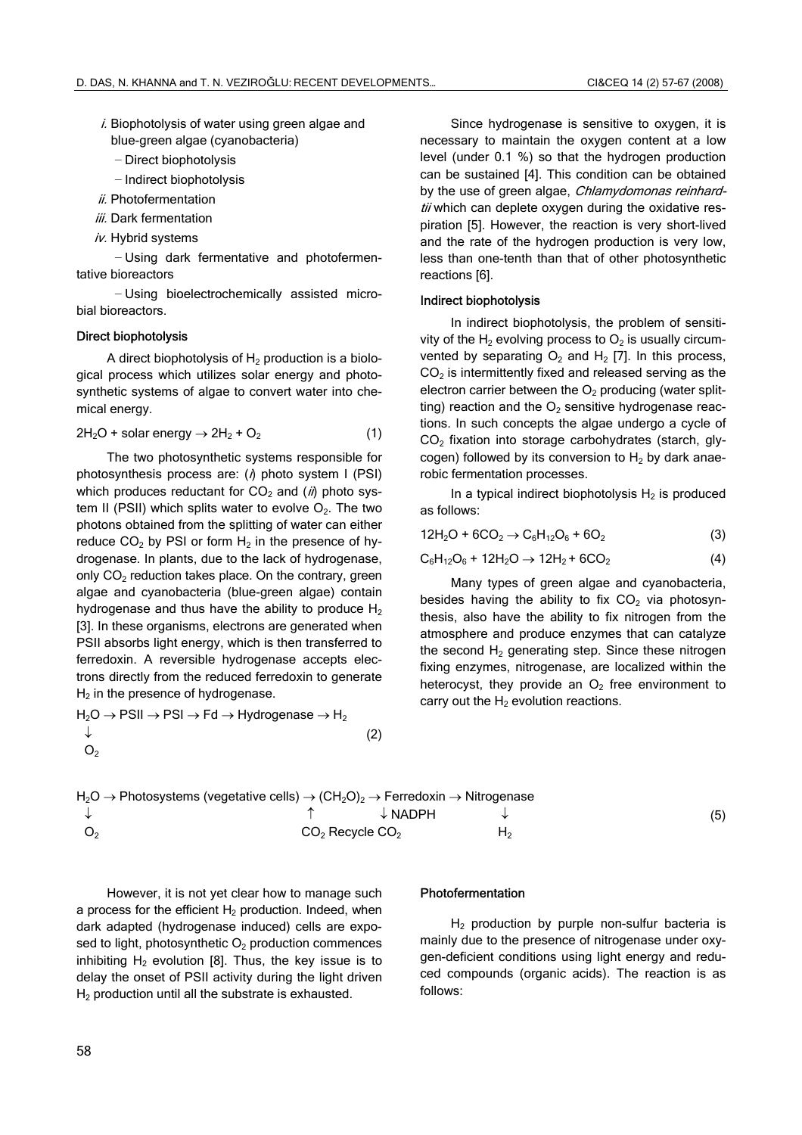- $i$ . Biophotolysis of water using green algae and blue-green algae (cyanobacteria)
	- − Direct biophotolysis
	- − Indirect biophotolysis
- $ii$ . Photofermentation
- iii. Dark fermentation
- iv. Hybrid systems

− Using dark fermentative and photofermentative bioreactors

− Using bioelectrochemically assisted microbial bioreactors.

#### Direct biophotolysis

A direct biophotolysis of  $H_2$  production is a biological process which utilizes solar energy and photosynthetic systems of algae to convert water into chemical energy.

$$
2H_2O + \text{solar energy} \rightarrow 2H_2 + O_2 \tag{1}
$$

The two photosynthetic systems responsible for photosynthesis process are:  $(i)$  photo system I (PSI) which produces reductant for  $CO<sub>2</sub>$  and (*ii*) photo system II (PSII) which splits water to evolve  $O_2$ . The two photons obtained from the splitting of water can either reduce  $CO<sub>2</sub>$  by PSI or form  $H<sub>2</sub>$  in the presence of hydrogenase. In plants, due to the lack of hydrogenase, only  $CO<sub>2</sub>$  reduction takes place. On the contrary, green algae and cyanobacteria (blue-green algae) contain hydrogenase and thus have the ability to produce  $H_2$ [3]. In these organisms, electrons are generated when PSII absorbs light energy, which is then transferred to ferredoxin. A reversible hydrogenase accepts electrons directly from the reduced ferredoxin to generate  $H<sub>2</sub>$  in the presence of hydrogenase.

$$
H_2O \to PSII \to PSI \to Fd \to Hydrogenase \to H_2
$$
  
\n
$$
\downarrow
$$
  
\n
$$
O_2
$$
 (2)

Since hydrogenase is sensitive to oxygen, it is necessary to maintain the oxygen content at a low level (under 0.1 %) so that the hydrogen production can be sustained [4]. This condition can be obtained by the use of green algae, Chlamydomonas reinhardtii which can deplete oxygen during the oxidative respiration [5]. However, the reaction is very short-lived and the rate of the hydrogen production is very low, less than one-tenth than that of other photosynthetic reactions [6].

#### Indirect biophotolysis

In indirect biophotolysis, the problem of sensitivity of the  $H_2$  evolving process to  $O_2$  is usually circumvented by separating  $O_2$  and  $H_2$  [7]. In this process,  $CO<sub>2</sub>$  is intermittently fixed and released serving as the electron carrier between the  $O<sub>2</sub>$  producing (water splitting) reaction and the  $O<sub>2</sub>$  sensitive hydrogenase reactions. In such concepts the algae undergo a cycle of CO<sub>2</sub> fixation into storage carbohydrates (starch, glycogen) followed by its conversion to  $H_2$  by dark anaerobic fermentation processes.

In a typical indirect biophotolysis  $H_2$  is produced as follows:

$$
12H_2O + 6CO_2 \rightarrow C_6H_{12}O_6 + 6O_2 \tag{3}
$$

$$
C_6H_{12}O_6 + 12H_2O \to 12H_2 + 6CO_2 \tag{4}
$$

Many types of green algae and cyanobacteria, besides having the ability to fix  $CO<sub>2</sub>$  via photosynthesis, also have the ability to fix nitrogen from the atmosphere and produce enzymes that can catalyze the second  $H_2$  generating step. Since these nitrogen fixing enzymes, nitrogenase, are localized within the heterocyst, they provide an  $O<sub>2</sub>$  free environment to carry out the  $H_2$  evolution reactions.

$$
H_2O \to \text{Photosystems (vegetative cells)} \to (CH_2O)_2 \to \text{Ferredoxin} \to \text{Nitrogenase}
$$
\n
$$
\uparrow \qquad \qquad \downarrow \qquad \qquad \downarrow
$$
\n
$$
O_2
$$
\n
$$
O_2
$$
\n
$$
CO_2 \text{Recycle } CO_2
$$
\n
$$
H_2
$$
\n
$$
(5)
$$

However, it is not yet clear how to manage such a process for the efficient  $H_2$  production. Indeed, when dark adapted (hydrogenase induced) cells are exposed to light, photosynthetic  $O<sub>2</sub>$  production commences inhibiting  $H<sub>2</sub>$  evolution [8]. Thus, the key issue is to delay the onset of PSII activity during the light driven  $H<sub>2</sub>$  production until all the substrate is exhausted.

#### Photofermentation

 $H<sub>2</sub>$  production by purple non-sulfur bacteria is mainly due to the presence of nitrogenase under oxygen-deficient conditions using light energy and reduced compounds (organic acids). The reaction is as follows: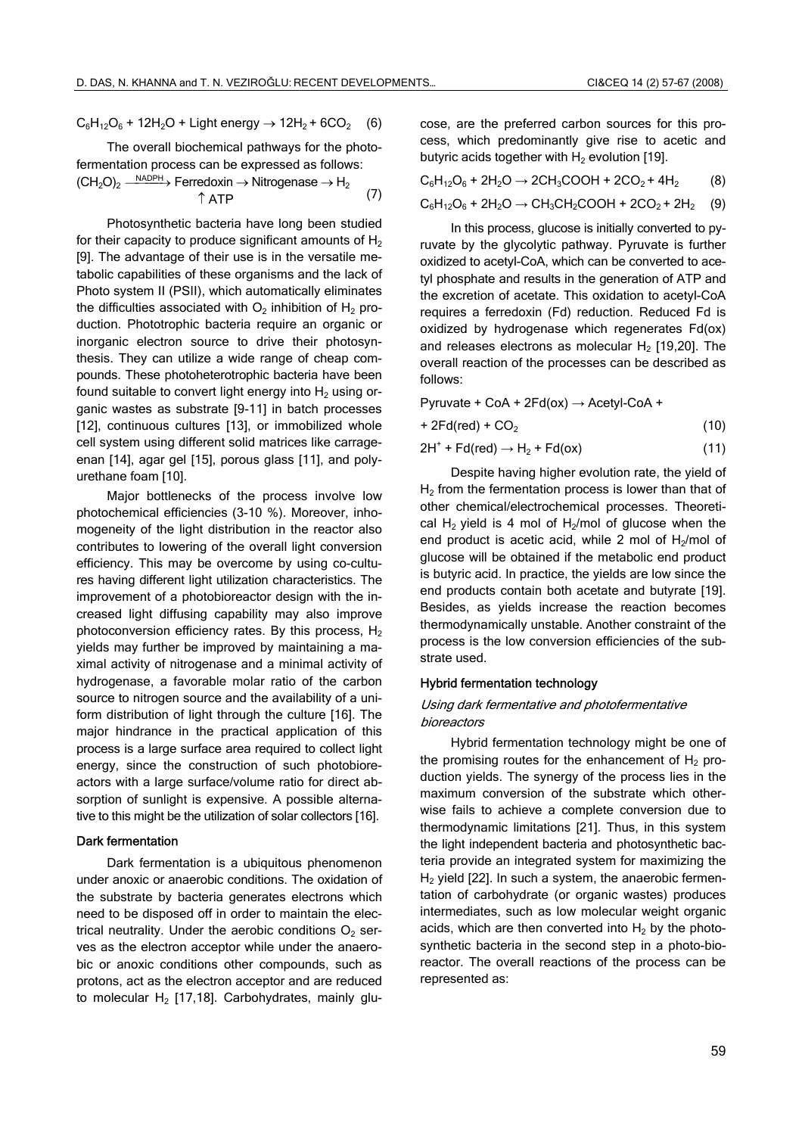$C_6H_{12}O_6 + 12H_2O +$  Light energy  $\rightarrow$  12H<sub>2</sub> + 6CO<sub>2</sub> (6)

The overall biochemical pathways for the photofermentation process can be expressed as follows:  $(CH<sub>2</sub>O)<sub>2</sub> \xrightarrow{\text{NADPH}}$  Ferredoxin  $\rightarrow$  Nitrogenase  $\rightarrow$  H<sub>2</sub>  $\uparrow$  ATP (7)

Photosynthetic bacteria have long been studied for their capacity to produce significant amounts of  $H_2$ [9]. The advantage of their use is in the versatile metabolic capabilities of these organisms and the lack of Photo system II (PSII), which automatically eliminates the difficulties associated with  $O_2$  inhibition of  $H_2$  production. Phototrophic bacteria require an organic or inorganic electron source to drive their photosynthesis. They can utilize a wide range of cheap compounds. These photoheterotrophic bacteria have been found suitable to convert light energy into  $H<sub>2</sub>$  using organic wastes as substrate [9-11] in batch processes [12], continuous cultures [13], or immobilized whole cell system using different solid matrices like carrageenan [14], agar gel [15], porous glass [11], and polyurethane foam [10].

Major bottlenecks of the process involve low photochemical efficiencies (3-10 %). Moreover, inhomogeneity of the light distribution in the reactor also contributes to lowering of the overall light conversion efficiency. This may be overcome by using co-cultures having different light utilization characteristics. The improvement of a photobioreactor design with the increased light diffusing capability may also improve photoconversion efficiency rates. By this process,  $H_2$ yields may further be improved by maintaining a maximal activity of nitrogenase and a minimal activity of hydrogenase, a favorable molar ratio of the carbon source to nitrogen source and the availability of a uniform distribution of light through the culture [16]. The major hindrance in the practical application of this process is a large surface area required to collect light energy, since the construction of such photobioreactors with a large surface/volume ratio for direct absorption of sunlight is expensive. A possible alternative to this might be the utilization of solar collectors [16].

#### Dark fermentation

Dark fermentation is a ubiquitous phenomenon under anoxic or anaerobic conditions. The oxidation of the substrate by bacteria generates electrons which need to be disposed off in order to maintain the electrical neutrality. Under the aerobic conditions  $O<sub>2</sub>$  serves as the electron acceptor while under the anaerobic or anoxic conditions other compounds, such as protons, act as the electron acceptor and are reduced to molecular  $H_2$  [17,18]. Carbohydrates, mainly glucose, are the preferred carbon sources for this process, which predominantly give rise to acetic and butyric acids together with  $H_2$  evolution [19].

$$
C_6H_{12}O_6 + 2H_2O \rightarrow 2CH_3COOH + 2CO_2 + 4H_2
$$
 (8)

$$
C_6H_{12}O_6 + 2H_2O \rightarrow CH_3CH_2COOH + 2CO_2 + 2H_2
$$
 (9)

In this process, glucose is initially converted to pyruvate by the glycolytic pathway. Pyruvate is further oxidized to acetyl-CoA, which can be converted to acetyl phosphate and results in the generation of ATP and the excretion of acetate. This oxidation to acetyl-CoA requires a ferredoxin (Fd) reduction. Reduced Fd is oxidized by hydrogenase which regenerates Fd(ox) and releases electrons as molecular  $H_2$  [19,20]. The overall reaction of the processes can be described as follows:

Pyruvate + CoA +  $2Fd(ox) \rightarrow Acetyl-CoA +$ 

$$
+ 2Fd(\text{red}) + CO_2 \tag{10}
$$

$$
2H^+ + Fd(\text{red}) \to H_2 + Fd(\text{ox})
$$
 (11)

Despite having higher evolution rate, the yield of  $H<sub>2</sub>$  from the fermentation process is lower than that of other chemical/electrochemical processes. Theoretical  $H_2$  yield is 4 mol of  $H_2$ /mol of glucose when the end product is acetic acid, while 2 mol of  $H<sub>2</sub>/mol$  of glucose will be obtained if the metabolic end product is butyric acid. In practice, the yields are low since the end products contain both acetate and butyrate [19]. Besides, as yields increase the reaction becomes thermodynamically unstable. Another constraint of the process is the low conversion efficiencies of the substrate used.

#### Hybrid fermentation technology

### Using dark fermentative and photofermentative bioreactors

Hybrid fermentation technology might be one of the promising routes for the enhancement of  $H_2$  production yields. The synergy of the process lies in the maximum conversion of the substrate which otherwise fails to achieve a complete conversion due to thermodynamic limitations [21]. Thus, in this system the light independent bacteria and photosynthetic bacteria provide an integrated system for maximizing the  $H<sub>2</sub>$  yield [22]. In such a system, the anaerobic fermentation of carbohydrate (or organic wastes) produces intermediates, such as low molecular weight organic acids, which are then converted into  $H_2$  by the photosynthetic bacteria in the second step in a photo-bioreactor. The overall reactions of the process can be represented as: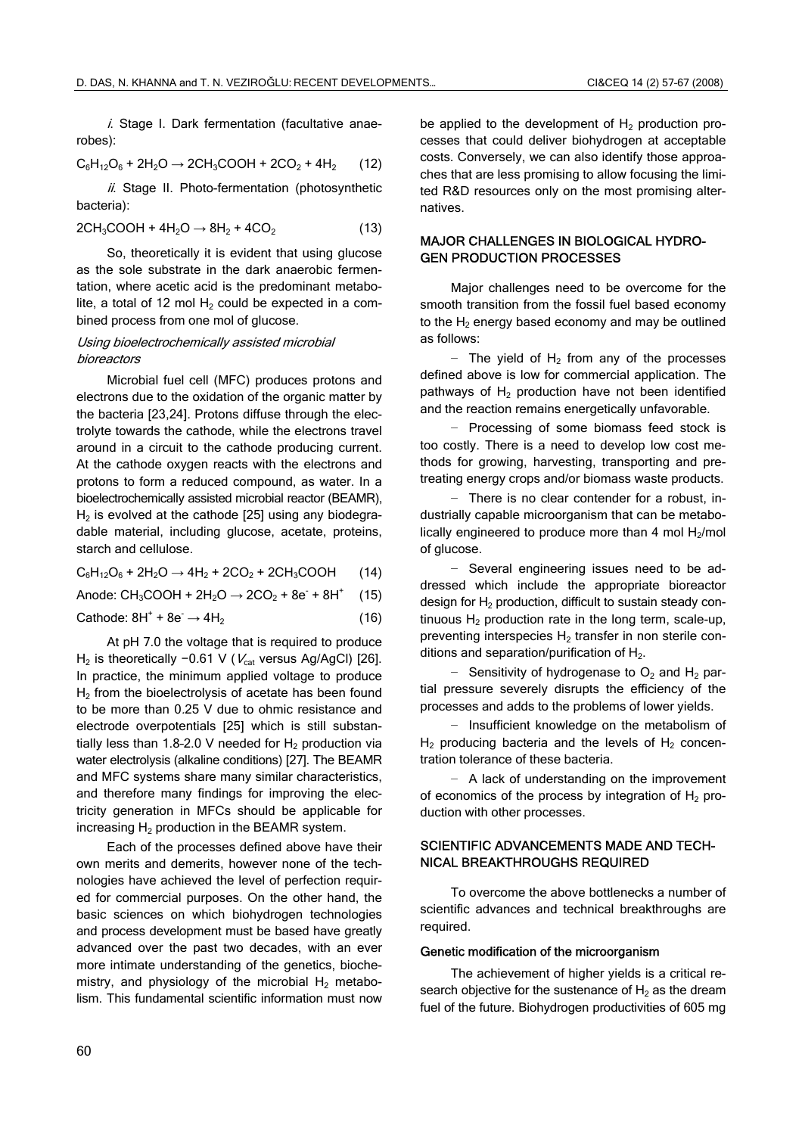i. Stage I. Dark fermentation (facultative anaerobes):

$$
C_6H_{12}O_6 + 2H_2O \rightarrow 2CH_3COOH + 2CO_2 + 4H_2
$$
 (12)

 $ii$ . Stage II. Photo-fermentation (photosynthetic bacteria):

$$
2CH3COOH + 4H2O \rightarrow 8H2 + 4CO2
$$
 (13)

So, theoretically it is evident that using glucose as the sole substrate in the dark anaerobic fermentation, where acetic acid is the predominant metabolite, a total of 12 mol  $H_2$  could be expected in a combined process from one mol of glucose.

#### Using bioelectrochemically assisted microbial bioreactors

Microbial fuel cell (MFC) produces protons and electrons due to the oxidation of the organic matter by the bacteria [23,24]. Protons diffuse through the electrolyte towards the cathode, while the electrons travel around in a circuit to the cathode producing current. At the cathode oxygen reacts with the electrons and protons to form a reduced compound, as water. In a bioelectrochemically assisted microbial reactor (BEAMR),  $H<sub>2</sub>$  is evolved at the cathode [25] using any biodegradable material, including glucose, acetate, proteins, starch and cellulose.

 $C_6H_{12}O_6 + 2H_2O \rightarrow 4H_2 + 2CO_2 + 2CH_3COOH$  (14)

Anode:  $CH_3COOH + 2H_2O \rightarrow 2CO_2 + 8e^- + 8H^+$ (15)

Cathode:  $8H^+ + 8e^- \rightarrow 4H_2$  (16)

At pH 7.0 the voltage that is required to produce H<sub>2</sub> is theoretically −0.61 V ( $V_{cat}$  versus Ag/AgCl) [26]. In practice, the minimum applied voltage to produce H<sub>2</sub> from the bioelectrolysis of acetate has been found to be more than 0.25 V due to ohmic resistance and electrode overpotentials [25] which is still substantially less than 1.8-2.0 V needed for  $H_2$  production via water electrolysis (alkaline conditions) [27]. The BEAMR and MFC systems share many similar characteristics, and therefore many findings for improving the electricity generation in MFCs should be applicable for increasing  $H_2$  production in the BEAMR system.

Each of the processes defined above have their own merits and demerits, however none of the technologies have achieved the level of perfection required for commercial purposes. On the other hand, the basic sciences on which biohydrogen technologies and process development must be based have greatly advanced over the past two decades, with an ever more intimate understanding of the genetics, biochemistry, and physiology of the microbial  $H_2$  metabolism. This fundamental scientific information must now be applied to the development of  $H_2$  production processes that could deliver biohydrogen at acceptable costs. Conversely, we can also identify those approaches that are less promising to allow focusing the limited R&D resources only on the most promising alternatives.

# MAJOR CHALLENGES IN BIOLOGICAL HYDRO-GEN PRODUCTION PROCESSES

Major challenges need to be overcome for the smooth transition from the fossil fuel based economy to the  $H<sub>2</sub>$  energy based economy and may be outlined as follows:

− The yield of H<sub>2</sub> from any of the processes defined above is low for commercial application. The pathways of  $H<sub>2</sub>$  production have not been identified and the reaction remains energetically unfavorable.

− Processing of some biomass feed stock is too costly. There is a need to develop low cost methods for growing, harvesting, transporting and pretreating energy crops and/or biomass waste products.

− There is no clear contender for a robust, industrially capable microorganism that can be metabolically engineered to produce more than 4 mol  $H_2$ /mol of glucose.

− Several engineering issues need to be addressed which include the appropriate bioreactor design for  $H<sub>2</sub>$  production, difficult to sustain steady continuous  $H_2$  production rate in the long term, scale-up, preventing interspecies  $H_2$  transfer in non sterile conditions and separation/purification of  $H<sub>2</sub>$ .

− Sensitivity of hydrogenase to O<sub>2</sub> and H<sub>2</sub> partial pressure severely disrupts the efficiency of the processes and adds to the problems of lower yields.

− Insufficient knowledge on the metabolism of  $H_2$  producing bacteria and the levels of  $H_2$  concentration tolerance of these bacteria.

− A lack of understanding on the improvement of economics of the process by integration of  $H_2$  production with other processes.

# SCIENTIFIC ADVANCEMENTS MADE AND TECH-NICAL BREAKTHROUGHS REQUIRED

To overcome the above bottlenecks a number of scientific advances and technical breakthroughs are required.

#### Genetic modification of the microorganism

The achievement of higher yields is a critical research objective for the sustenance of  $H_2$  as the dream fuel of the future. Biohydrogen productivities of 605 mg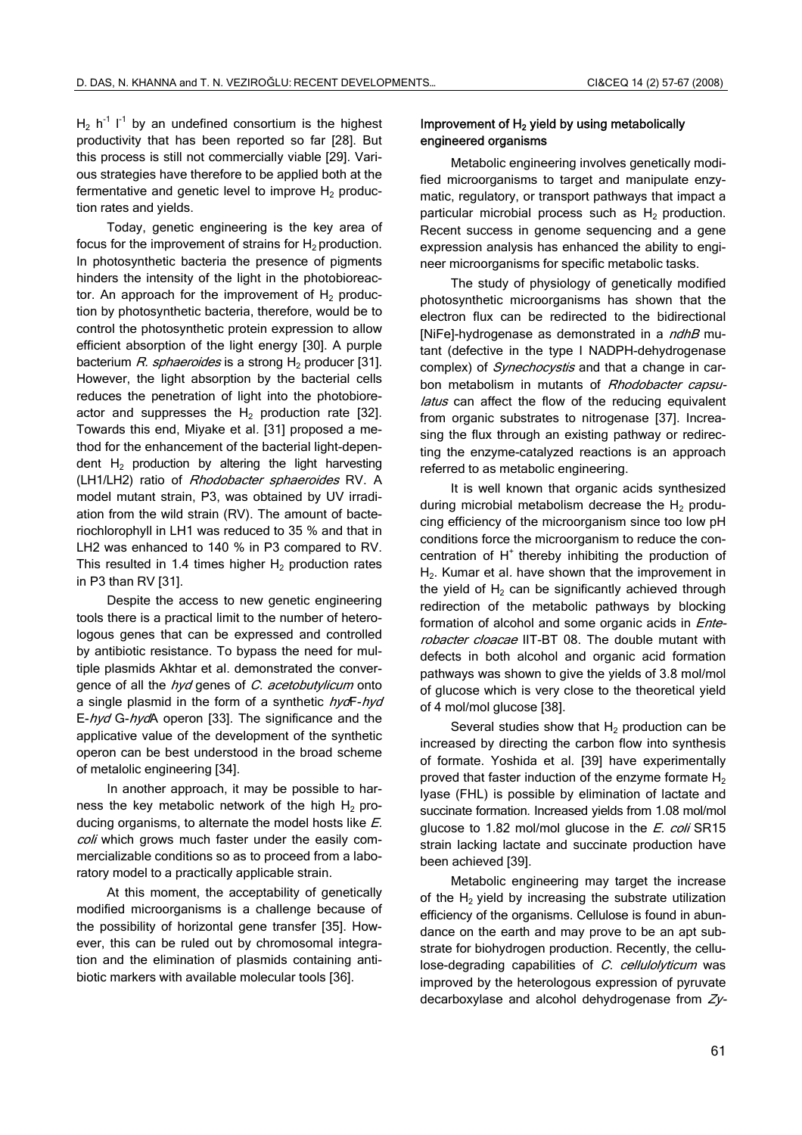H<sub>2</sub> h<sup>-1</sup> l<sup>-1</sup> by an undefined consortium is the highest productivity that has been reported so far [28]. But this process is still not commercially viable [29]. Various strategies have therefore to be applied both at the fermentative and genetic level to improve  $H_2$  production rates and yields.

Today, genetic engineering is the key area of focus for the improvement of strains for  $H_2$  production. In photosynthetic bacteria the presence of pigments hinders the intensity of the light in the photobioreactor. An approach for the improvement of  $H<sub>2</sub>$  production by photosynthetic bacteria, therefore, would be to control the photosynthetic protein expression to allow efficient absorption of the light energy [30]. A purple bacterium R. sphaeroides is a strong  $H_2$  producer [31]. However, the light absorption by the bacterial cells reduces the penetration of light into the photobioreactor and suppresses the  $H_2$  production rate [32]. Towards this end, Miyake et al. [31] proposed a method for the enhancement of the bacterial light-dependent  $H_2$  production by altering the light harvesting (LH1/LH2) ratio of Rhodobacter sphaeroides RV. A model mutant strain, P3, was obtained by UV irradiation from the wild strain (RV). The amount of bacteriochlorophyll in LH1 was reduced to 35 % and that in LH2 was enhanced to 140 % in P3 compared to RV. This resulted in 1.4 times higher  $H_2$  production rates in P3 than RV [31].

Despite the access to new genetic engineering tools there is a practical limit to the number of heterologous genes that can be expressed and controlled by antibiotic resistance. To bypass the need for multiple plasmids Akhtar et al. demonstrated the convergence of all the hyd genes of C. acetobutylicum onto a single plasmid in the form of a synthetic  $hrdF-hyd$ E-hyd G-hydA operon [33]. The significance and the applicative value of the development of the synthetic operon can be best understood in the broad scheme of metalolic engineering [34].

In another approach, it may be possible to harness the key metabolic network of the high  $H_2$  producing organisms, to alternate the model hosts like E. coli which grows much faster under the easily commercializable conditions so as to proceed from a laboratory model to a practically applicable strain.

At this moment, the acceptability of genetically modified microorganisms is a challenge because of the possibility of horizontal gene transfer [35]. However, this can be ruled out by chromosomal integration and the elimination of plasmids containing antibiotic markers with available molecular tools [36].

# Improvement of  $H_2$  yield by using metabolically engineered organisms

Metabolic engineering involves genetically modified microorganisms to target and manipulate enzymatic, regulatory, or transport pathways that impact a particular microbial process such as  $H_2$  production. Recent success in genome sequencing and a gene expression analysis has enhanced the ability to engineer microorganisms for specific metabolic tasks.

The study of physiology of genetically modified photosynthetic microorganisms has shown that the electron flux can be redirected to the bidirectional [NiFe]-hydrogenase as demonstrated in a *ndhB* mutant (defective in the type I NADPH-dehydrogenase complex) of *Synechocystis* and that a change in carbon metabolism in mutants of Rhodobacter capsulatus can affect the flow of the reducing equivalent from organic substrates to nitrogenase [37]. Increasing the flux through an existing pathway or redirecting the enzyme-catalyzed reactions is an approach referred to as metabolic engineering.

It is well known that organic acids synthesized during microbial metabolism decrease the  $H_2$  producing efficiency of the microorganism since too low pH conditions force the microorganism to reduce the concentration of  $H^+$  thereby inhibiting the production of H<sub>2</sub>. Kumar et al. have shown that the improvement in the yield of  $H<sub>2</sub>$  can be significantly achieved through redirection of the metabolic pathways by blocking formation of alcohol and some organic acids in *Ente*robacter cloacae IIT-BT 08. The double mutant with defects in both alcohol and organic acid formation pathways was shown to give the yields of 3.8 mol/mol of glucose which is very close to the theoretical yield of 4 mol/mol glucose [38].

Several studies show that  $H_2$  production can be increased by directing the carbon flow into synthesis of formate. Yoshida et al. [39] have experimentally proved that faster induction of the enzyme formate  $H_2$ lyase (FHL) is possible by elimination of lactate and succinate formation. Increased yields from 1.08 mol/mol glucose to 1.82 mol/mol glucose in the  $E$ . coli SR15 strain lacking lactate and succinate production have been achieved [39].

Metabolic engineering may target the increase of the  $H_2$  yield by increasing the substrate utilization efficiency of the organisms. Cellulose is found in abundance on the earth and may prove to be an apt substrate for biohydrogen production. Recently, the cellulose-degrading capabilities of C. cellulolyticum was improved by the heterologous expression of pyruvate decarboxylase and alcohol dehydrogenase from Zy-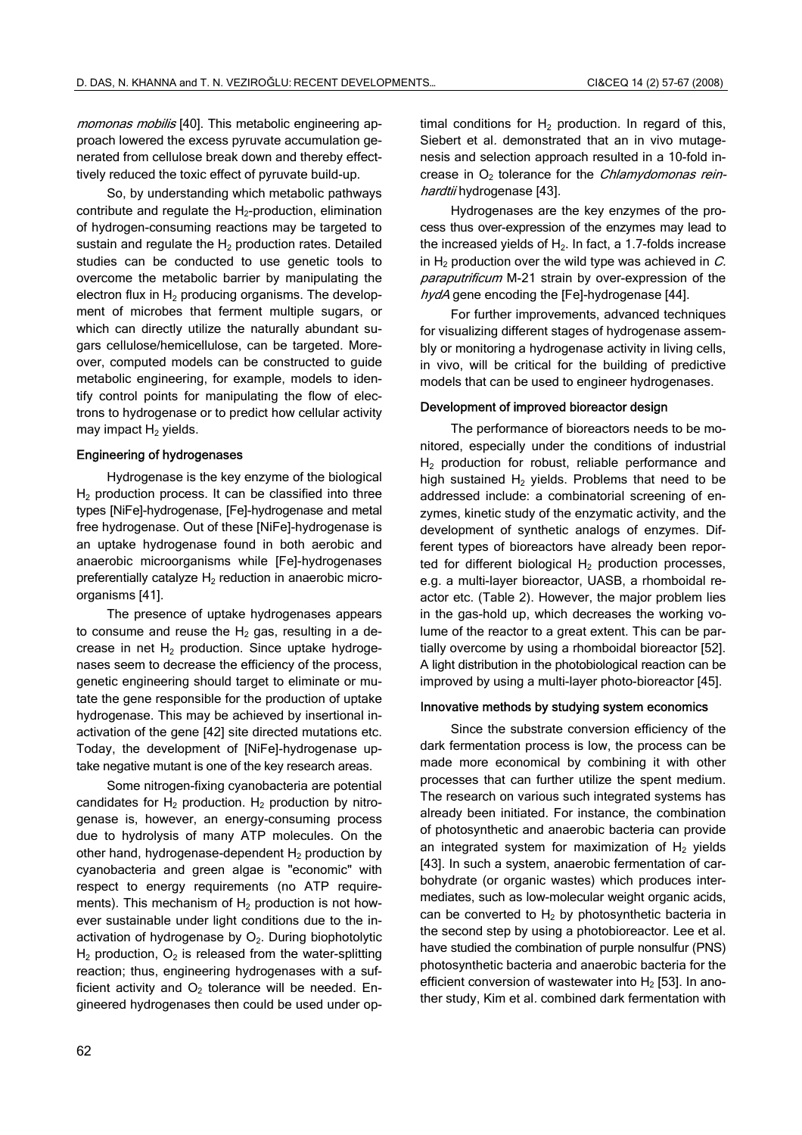momonas mobilis [40]. This metabolic engineering approach lowered the excess pyruvate accumulation generated from cellulose break down and thereby effecttively reduced the toxic effect of pyruvate build-up.

So, by understanding which metabolic pathways contribute and regulate the  $H_2$ -production, elimination of hydrogen-consuming reactions may be targeted to sustain and regulate the  $H_2$  production rates. Detailed studies can be conducted to use genetic tools to overcome the metabolic barrier by manipulating the electron flux in  $H_2$  producing organisms. The development of microbes that ferment multiple sugars, or which can directly utilize the naturally abundant sugars cellulose/hemicellulose, can be targeted. Moreover, computed models can be constructed to guide metabolic engineering, for example, models to identify control points for manipulating the flow of electrons to hydrogenase or to predict how cellular activity may impact  $H_2$  yields.

#### Engineering of hydrogenases

Hydrogenase is the key enzyme of the biological  $H<sub>2</sub>$  production process. It can be classified into three types [NiFe]-hydrogenase, [Fe]-hydrogenase and metal free hydrogenase. Out of these [NiFe]-hydrogenase is an uptake hydrogenase found in both aerobic and anaerobic microorganisms while [Fe]-hydrogenases preferentially catalyze  $H_2$  reduction in anaerobic microorganisms [41].

The presence of uptake hydrogenases appears to consume and reuse the  $H<sub>2</sub>$  gas, resulting in a decrease in net  $H_2$  production. Since uptake hydrogenases seem to decrease the efficiency of the process, genetic engineering should target to eliminate or mutate the gene responsible for the production of uptake hydrogenase. This may be achieved by insertional inactivation of the gene [42] site directed mutations etc. Today, the development of [NiFe]-hydrogenase uptake negative mutant is one of the key research areas.

Some nitrogen-fixing cyanobacteria are potential candidates for  $H_2$  production.  $H_2$  production by nitrogenase is, however, an energy-consuming process due to hydrolysis of many ATP molecules. On the other hand, hydrogenase-dependent  $H_2$  production by cyanobacteria and green algae is "economic" with respect to energy requirements (no ATP requirements). This mechanism of  $H_2$  production is not however sustainable under light conditions due to the inactivation of hydrogenase by  $O<sub>2</sub>$ . During biophotolytic  $H_2$  production,  $O_2$  is released from the water-splitting reaction; thus, engineering hydrogenases with a sufficient activity and  $O<sub>2</sub>$  tolerance will be needed. Engineered hydrogenases then could be used under optimal conditions for  $H_2$  production. In regard of this, Siebert et al. demonstrated that an in vivo mutagenesis and selection approach resulted in a 10-fold increase in  $O<sub>2</sub>$  tolerance for the *Chlamydomonas rein*hardtii hydrogenase [43].

Hydrogenases are the key enzymes of the process thus over-expression of the enzymes may lead to the increased yields of  $H_2$ . In fact, a 1.7-folds increase in  $H<sub>2</sub>$  production over the wild type was achieved in  $C<sub>2</sub>$ . paraputrificum M-21 strain by over-expression of the hydA gene encoding the [Fe]-hydrogenase [44].

For further improvements, advanced techniques for visualizing different stages of hydrogenase assembly or monitoring a hydrogenase activity in living cells, in vivo, will be critical for the building of predictive models that can be used to engineer hydrogenases.

### Development of improved bioreactor design

The performance of bioreactors needs to be monitored, especially under the conditions of industrial H<sub>2</sub> production for robust, reliable performance and high sustained  $H_2$  yields. Problems that need to be addressed include: a combinatorial screening of enzymes, kinetic study of the enzymatic activity, and the development of synthetic analogs of enzymes. Different types of bioreactors have already been reported for different biological  $H_2$  production processes, e.g. a multi-layer bioreactor, UASB, a rhomboidal reactor etc. (Table 2). However, the major problem lies in the gas-hold up, which decreases the working volume of the reactor to a great extent. This can be partially overcome by using a rhomboidal bioreactor [52]. A light distribution in the photobiological reaction can be improved by using a multi-layer photo-bioreactor [45].

#### Innovative methods by studying system economics

Since the substrate conversion efficiency of the dark fermentation process is low, the process can be made more economical by combining it with other processes that can further utilize the spent medium. The research on various such integrated systems has already been initiated. For instance, the combination of photosynthetic and anaerobic bacteria can provide an integrated system for maximization of  $H<sub>2</sub>$  yields [43]. In such a system, anaerobic fermentation of carbohydrate (or organic wastes) which produces intermediates, such as low-molecular weight organic acids, can be converted to  $H_2$  by photosynthetic bacteria in the second step by using a photobioreactor. Lee et al. have studied the combination of purple nonsulfur (PNS) photosynthetic bacteria and anaerobic bacteria for the efficient conversion of wastewater into  $H<sub>2</sub>$  [53]. In another study, Kim et al. combined dark fermentation with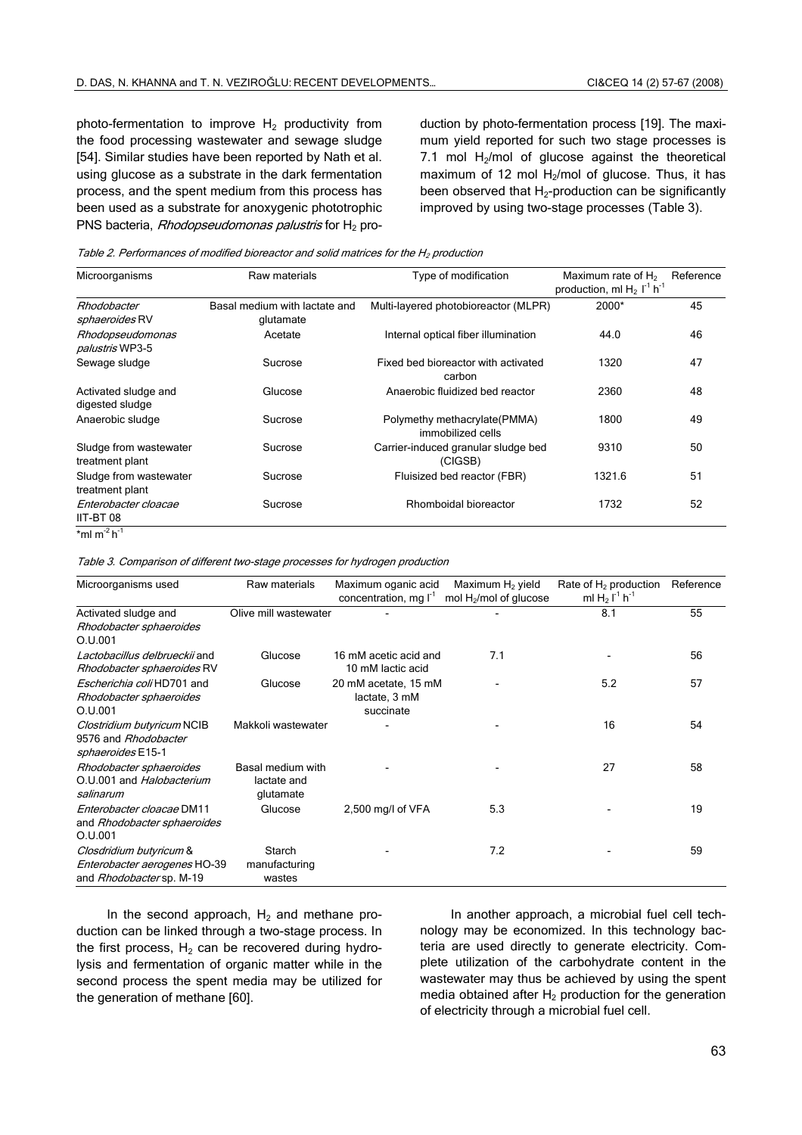photo-fermentation to improve  $H_2$  productivity from the food processing wastewater and sewage sludge [54]. Similar studies have been reported by Nath et al. using glucose as a substrate in the dark fermentation process, and the spent medium from this process has been used as a substrate for anoxygenic phototrophic PNS bacteria, Rhodopseudomonas palustris for  $H_2$  production by photo-fermentation process [19]. The maximum yield reported for such two stage processes is 7.1 mol  $H_2$ /mol of glucose against the theoretical maximum of 12 mol  $H_2$ /mol of glucose. Thus, it has been observed that  $H_2$ -production can be significantly improved by using two-stage processes (Table 3).

Table 2. Performances of modified bioreactor and solid matrices for the  $H_2$  production

| Microorganisms                             | Raw materials                              | Type of modification                              | Maximum rate of $H_2$<br>production, ml $H_2$ $\Gamma^1$ h <sup>-1</sup> | Reference |
|--------------------------------------------|--------------------------------------------|---------------------------------------------------|--------------------------------------------------------------------------|-----------|
| Rhodobacter<br><i>sphaeroides</i> RV       | Basal medium with lactate and<br>glutamate | Multi-layered photobioreactor (MLPR)              | 2000*                                                                    | 45        |
| Rhodopseudomonas<br><i>palustris</i> WP3-5 | Acetate                                    | Internal optical fiber illumination               | 44.0                                                                     | 46        |
| Sewage sludge                              | Sucrose                                    | Fixed bed bioreactor with activated<br>carbon     | 1320                                                                     | 47        |
| Activated sludge and<br>digested sludge    | Glucose                                    | Anaerobic fluidized bed reactor                   | 2360                                                                     | 48        |
| Anaerobic sludge                           | Sucrose                                    | Polymethy methacrylate(PMMA)<br>immobilized cells | 1800                                                                     | 49        |
| Sludge from wastewater<br>treatment plant  | Sucrose                                    | Carrier-induced granular sludge bed<br>(CIGSB)    | 9310                                                                     | 50        |
| Sludge from wastewater<br>treatment plant  | Sucrose                                    | Fluisized bed reactor (FBR)                       | 1321.6                                                                   | 51        |
| Enterobacter cloacae<br>IIT-BT 08          | Sucrose                                    | Rhomboidal bioreactor                             | 1732                                                                     | 52        |
| *ml m <sup>-2</sup> h <sup>-1</sup>        |                                            |                                                   |                                                                          |           |

Table 3. Comparison of different two-stage processes for hydrogen production

| Microorganisms used                                                                 | Raw materials                                 | Maximum oganic acid<br>concentration, mg I <sup>-1</sup> | Maximum H <sub>2</sub> yield<br>mol H <sub>2</sub> /mol of glucose | Rate of $H_2$ production<br>ml $H_2$ $I^1$ h <sup>-1</sup> | Reference |
|-------------------------------------------------------------------------------------|-----------------------------------------------|----------------------------------------------------------|--------------------------------------------------------------------|------------------------------------------------------------|-----------|
| Activated sludge and<br>Rhodobacter sphaeroides<br>O.U.001                          | Olive mill wastewater                         |                                                          |                                                                    | 8.1                                                        | 55        |
| Lactobacillus delbrueckij and<br>Rhodobacter sphaeroides RV                         | Glucose                                       | 16 mM acetic acid and<br>10 mM lactic acid               | 7.1                                                                |                                                            | 56        |
| Escherichia coli HD701 and<br>Rhodobacter sphaeroides<br>O.U.001                    | Glucose                                       | 20 mM acetate, 15 mM<br>lactate, 3 mM<br>succinate       |                                                                    | 5.2                                                        | 57        |
| Clostridium butyricum NCIB<br>9576 and Rhodobacter<br><i>sphaeroides</i> E15-1      | Makkoli wastewater                            |                                                          |                                                                    | 16                                                         | 54        |
| Rhodobacter sphaeroides<br>O.U.001 and Halobacterium<br>salinarum                   | Basal medium with<br>lactate and<br>glutamate |                                                          |                                                                    | 27                                                         | 58        |
| Enterobacter cloacae DM11<br>and Rhodobacter sphaeroides<br>O.U.001                 | Glucose                                       | 2,500 mg/l of VFA                                        | 5.3                                                                |                                                            | 19        |
| Closdridium butyricum &<br>Enterobacter aerogenes HO-39<br>and Rhodobacter sp. M-19 | Starch<br>manufacturing<br>wastes             |                                                          | 7.2                                                                |                                                            | 59        |

In the second approach,  $H_2$  and methane production can be linked through a two-stage process. In the first process,  $H_2$  can be recovered during hydrolysis and fermentation of organic matter while in the second process the spent media may be utilized for the generation of methane [60].

In another approach, a microbial fuel cell technology may be economized. In this technology bacteria are used directly to generate electricity. Complete utilization of the carbohydrate content in the wastewater may thus be achieved by using the spent media obtained after  $H_2$  production for the generation of electricity through a microbial fuel cell.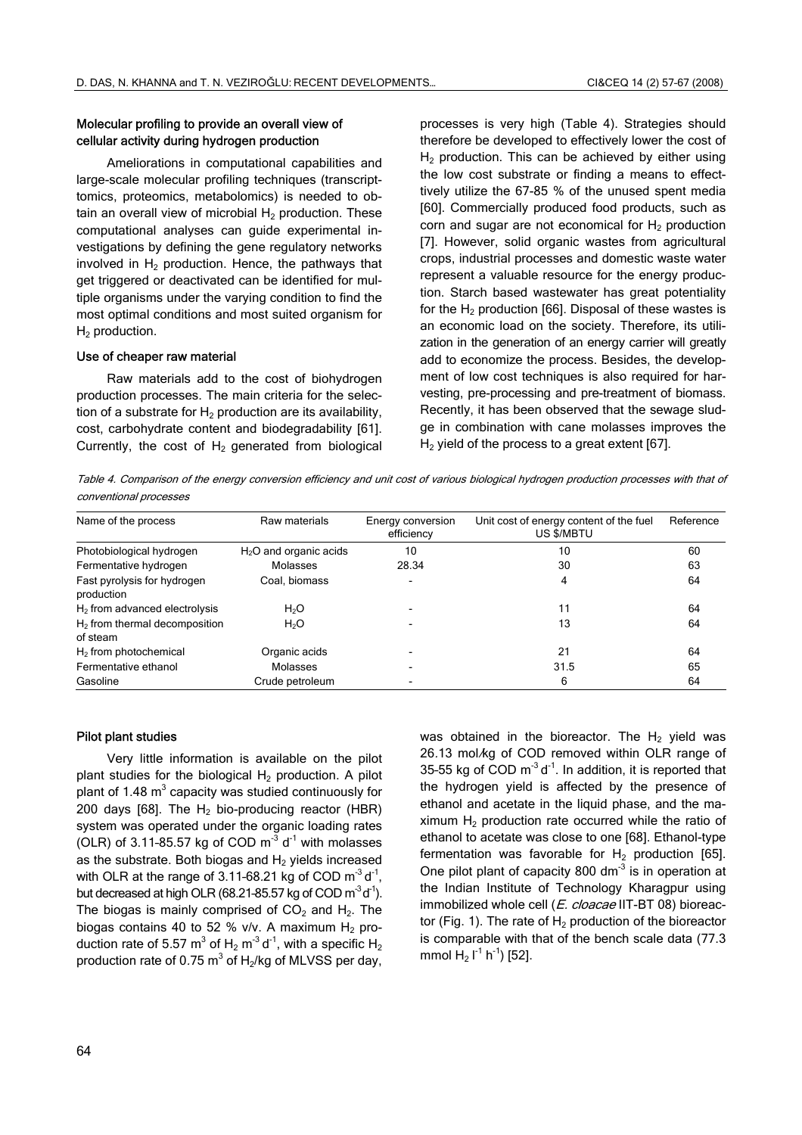# Molecular profiling to provide an overall view of cellular activity during hydrogen production

Ameliorations in computational capabilities and large-scale molecular profiling techniques (transcripttomics, proteomics, metabolomics) is needed to obtain an overall view of microbial  $H_2$  production. These computational analyses can guide experimental investigations by defining the gene regulatory networks involved in  $H_2$  production. Hence, the pathways that get triggered or deactivated can be identified for multiple organisms under the varying condition to find the most optimal conditions and most suited organism for  $H<sub>2</sub>$  production.

#### Use of cheaper raw material

Raw materials add to the cost of biohydrogen production processes. The main criteria for the selection of a substrate for  $H_2$  production are its availability, cost, carbohydrate content and biodegradability [61]. Currently, the cost of  $H_2$  generated from biological processes is very high (Table 4). Strategies should therefore be developed to effectively lower the cost of  $H<sub>2</sub>$  production. This can be achieved by either using the low cost substrate or finding a means to effecttively utilize the 67-85 % of the unused spent media [60]. Commercially produced food products, such as corn and sugar are not economical for  $H_2$  production [7]. However, solid organic wastes from agricultural crops, industrial processes and domestic waste water represent a valuable resource for the energy production. Starch based wastewater has great potentiality for the  $H_2$  production [66]. Disposal of these wastes is an economic load on the society. Therefore, its utilization in the generation of an energy carrier will greatly add to economize the process. Besides, the development of low cost techniques is also required for harvesting, pre-processing and pre-treatment of biomass. Recently, it has been observed that the sewage sludge in combination with cane molasses improves the  $H<sub>2</sub>$  yield of the process to a great extent [67].

Table 4. Comparison of the energy conversion efficiency and unit cost of various biological hydrogen production processes with that of conventional processes

| Name of the process                         | Raw materials           | Energy conversion<br>efficiency | Unit cost of energy content of the fuel<br>US \$/MBTU | Reference |
|---------------------------------------------|-------------------------|---------------------------------|-------------------------------------------------------|-----------|
| Photobiological hydrogen                    | $H2O$ and organic acids | 10                              | 10                                                    | 60        |
| Fermentative hydrogen                       | Molasses                | 28.34                           | 30                                                    | 63        |
| Fast pyrolysis for hydrogen<br>production   | Coal. biomass           | $\overline{\phantom{a}}$        | 4                                                     | 64        |
| $H2$ from advanced electrolysis             | H <sub>2</sub> O        |                                 | 11                                                    | 64        |
| $H2$ from thermal decomposition<br>of steam | H <sub>2</sub> O        |                                 | 13                                                    | 64        |
| $H2$ from photochemical                     | Organic acids           |                                 | 21                                                    | 64        |
| Fermentative ethanol                        | Molasses                |                                 | 31.5                                                  | 65        |
| Gasoline                                    | Crude petroleum         |                                 | 6                                                     | 64        |

#### Pilot plant studies

Very little information is available on the pilot plant studies for the biological  $H_2$  production. A pilot plant of 1.48  $m^3$  capacity was studied continuously for 200 days [68]. The  $H_2$  bio-producing reactor (HBR) system was operated under the organic loading rates (OLR) of 3.11-85.57 kg of COD  $m<sup>-3</sup> d<sup>-1</sup>$  with molasses as the substrate. Both biogas and  $H_2$  yields increased with OLR at the range of 3.11-68.21 kg of COD  $m^{-3} d^{-1}$ , but decreased at high OLR (68.21-85.57 kg of COD  $m^3 d^1$ ). The biogas is mainly comprised of  $CO<sub>2</sub>$  and  $H<sub>2</sub>$ . The biogas contains 40 to 52 % v/v. A maximum  $H_2$  production rate of 5.57 m $^3$  of H<sub>2</sub> m $^{\text{-3}}$ d $^{\text{-1}}$ , with a specific H<sub>2</sub> production rate of 0.75  $\text{m}^3$  of H<sub>2</sub>/kg of MLVSS per day, was obtained in the bioreactor. The  $H_2$  yield was 26.13 mol/kg of COD removed within OLR range of 35-55 kg of COD  $m^{-3} d^{-1}$ . In addition, it is reported that the hydrogen yield is affected by the presence of ethanol and acetate in the liquid phase, and the maximum  $H<sub>2</sub>$  production rate occurred while the ratio of ethanol to acetate was close to one [68]. Ethanol-type fermentation was favorable for  $H_2$  production [65]. One pilot plant of capacity 800 dm<sup>-3</sup> is in operation at the Indian Institute of Technology Kharagpur using immobilized whole cell (E. cloacae IIT-BT 08) bioreactor (Fig. 1). The rate of  $H<sub>2</sub>$  production of the bioreactor is comparable with that of the bench scale data (77.3 mmol  $H_2$  l<sup>-1</sup> h<sup>-1</sup>) [52].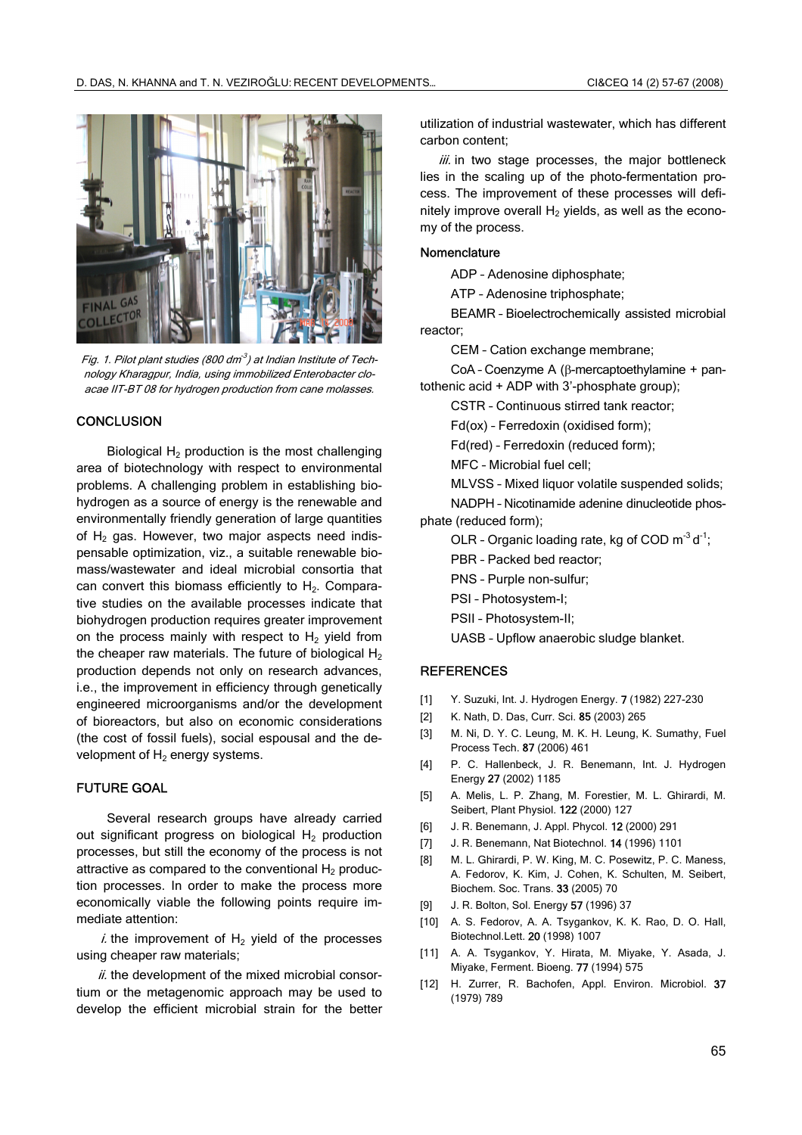

Fig. 1. Pilot plant studies (800 dm<sup>-3</sup>) at Indian Institute of Technology Kharagpur, India, using immobilized Enterobacter cloacae IIT-BT 08 for hydrogen production from cane molasses.

### **CONCLUSION**

Biological  $H_2$  production is the most challenging area of biotechnology with respect to environmental problems. A challenging problem in establishing biohydrogen as a source of energy is the renewable and environmentally friendly generation of large quantities of  $H_2$  gas. However, two major aspects need indispensable optimization, viz., a suitable renewable biomass/wastewater and ideal microbial consortia that can convert this biomass efficiently to  $H<sub>2</sub>$ . Comparative studies on the available processes indicate that biohydrogen production requires greater improvement on the process mainly with respect to  $H<sub>2</sub>$  yield from the cheaper raw materials. The future of biological  $H_2$ production depends not only on research advances, i.e., the improvement in efficiency through genetically engineered microorganisms and/or the development of bioreactors, but also on economic considerations (the cost of fossil fuels), social espousal and the development of  $H<sub>2</sub>$  energy systems.

# FUTURE GOAL

Several research groups have already carried out significant progress on biological  $H_2$  production processes, but still the economy of the process is not attractive as compared to the conventional  $H_2$  production processes. In order to make the process more economically viable the following points require immediate attention:

 $i$  the improvement of  $H_2$  yield of the processes using cheaper raw materials;

 $ii$ , the development of the mixed microbial consortium or the metagenomic approach may be used to develop the efficient microbial strain for the better utilization of industrial wastewater, which has different carbon content;

iii. in two stage processes, the major bottleneck lies in the scaling up of the photo-fermentation process. The improvement of these processes will definitely improve overall  $H_2$  yields, as well as the economy of the process.

#### Nomenclature

ADP – Adenosine diphosphate;

ATP – Adenosine triphosphate;

BEAMR – Bioelectrochemically assisted microbial reactor;

CEM – Cation exchange membrane;

CoA – Coenzyme A (β-mercaptoethylamine + pantothenic acid + ADP with 3'-phosphate group);

CSTR – Continuous stirred tank reactor;

Fd(ox) – Ferredoxin (oxidised form);

Fd(red) – Ferredoxin (reduced form);

MFC – Microbial fuel cell;

MLVSS – Mixed liquor volatile suspended solids;

NADPH – Nicotinamide adenine dinucleotide phosphate (reduced form);

OLR - Organic loading rate, kg of COD  $m<sup>-3</sup> d<sup>-1</sup>$ ;

PBR – Packed bed reactor;

PNS – Purple non-sulfur;

PSI – Photosystem-I;

PSII – Photosystem-II;

UASB – Upflow anaerobic sludge blanket.

#### **REFERENCES**

- [1] Y. Suzuki, Int. J. Hydrogen Energy. **7** (1982) 227-230
- [2] K. Nath, D. Das, Curr. Sci. 85 (2003) 265
- [3] M. Ni, D. Y. C. Leung, M. K. H. Leung, K. Sumathy, Fuel Process Tech. 87 (2006) 461
- [4] P. C. Hallenbeck, J. R. Benemann, Int. J. Hydrogen Energy 27 (2002) 1185
- [5] A. Melis, L. P. Zhang, M. Forestier, M. L. Ghirardi, M. Seibert, Plant Physiol. 122 (2000) 127
- [6] J. R. Benemann, J. Appl. Phycol. 12 (2000) 291
- [7] J. R. Benemann, Nat Biotechnol. 14 (1996) 1101
- [8] M. L. Ghirardi, P. W. King, M. C. Posewitz, P. C. Maness, A. Fedorov, K. Kim, J. Cohen, K. Schulten, M. Seibert, Biochem. Soc. Trans. 33 (2005) 70
- [9] J. R. Bolton, Sol. Energy 57 (1996) 37
- [10] A. S. Fedorov, A. A. Tsygankov, K. K. Rao, D. O. Hall, Biotechnol.Lett. 20 (1998) 1007
- [11] A. A. Tsygankov, Y. Hirata, M. Miyake, Y. Asada, J. Miyake, Ferment. Bioeng. 77 (1994) 575
- [12] H. Zurrer, R. Bachofen, Appl. Environ. Microbiol. 37 (1979) 789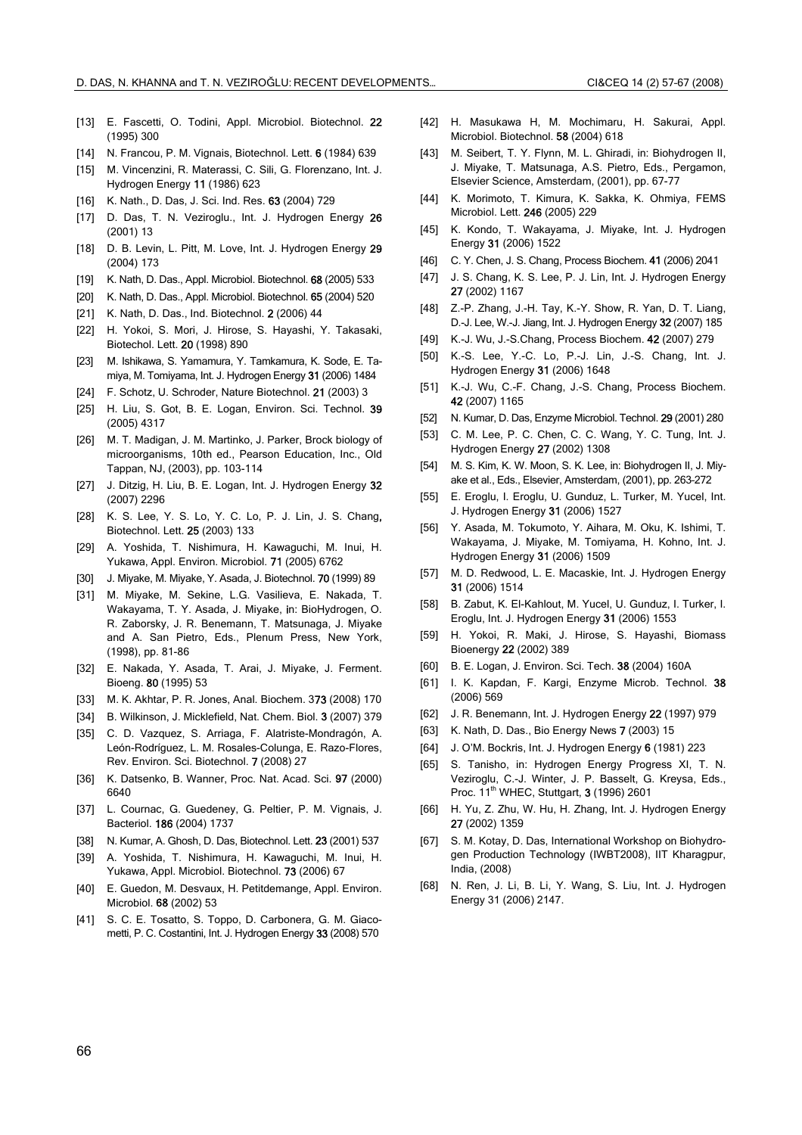- [13] E. Fascetti, O. Todini, Appl. Microbiol. Biotechnol. 22 (1995) 300
- [14] N. Francou, P. M. Vignais, Biotechnol. Lett. 6 (1984) 639
- [15] M. Vincenzini, R. Materassi, C. Sili, G. Florenzano, Int. J. Hydrogen Energy 11 (1986) 623
- [16] K. Nath., D. Das, J. Sci. Ind. Res. 63 (2004) 729
- [17] D. Das, T. N. Veziroglu., Int. J. Hydrogen Energy 26 (2001) 13
- [18] D. B. Levin, L. Pitt, M. Love, Int. J. Hydrogen Energy 29 (2004) 173
- [19] K. Nath, D. Das., Appl. Microbiol. Biotechnol. 68 (2005) 533
- [20] K. Nath, D. Das., Appl. Microbiol. Biotechnol. 65 (2004) 520
- [21] K. Nath, D. Das., Ind. Biotechnol. 2 (2006) 44
- [22] H. Yokoi, S. Mori, J. Hirose, S. Hayashi, Y. Takasaki, Biotechol. Lett. 20 (1998) 890
- [23] M. Ishikawa, S. Yamamura, Y. Tamkamura, K. Sode, E. Tamiya, M. Tomiyama, Int. J. Hydrogen Energy 31 (2006) 1484
- [24] F. Schotz, U. Schroder, Nature Biotechnol. 21 (2003) 3
- [25] H. Liu, S. Got, B. E. Logan, Environ. Sci. Technol. 39 (2005) 4317
- [26] M. T. Madigan, J. M. Martinko, J. Parker, Brock biology of microorganisms, 10th ed., Pearson Education, Inc., Old Tappan, NJ, (2003), pp. 103-114
- [27] J. Ditzig, H. Liu, B. E. Logan, Int. J. Hydrogen Energy 32 (2007) 2296
- [28] K. S. Lee, Y. S. Lo, Y. C. Lo, P. J. Lin, J. S. Chang, Biotechnol. Lett. 25 (2003) 133
- [29] A. Yoshida, T. Nishimura, H. Kawaguchi, M. Inui, H. Yukawa, Appl. Environ. Microbiol. 71 (2005) 6762
- [30] J. Miyake, M. Miyake, Y. Asada, J. Biotechnol. 70 (1999) 89
- [31] M. Miyake, M. Sekine, L.G. Vasilieva, E. Nakada, T. Wakayama, T. Y. Asada, J. Miyake, in: BioHydrogen, O. R. Zaborsky, J. R. Benemann, T. Matsunaga, J. Miyake and A. San Pietro, Eds., Plenum Press, New York, (1998), pp. 81-86
- [32] E. Nakada, Y. Asada, T. Arai, J. Miyake, J. Ferment. Bioeng. 80 (1995) 53
- [33] M. K. Akhtar, P. R. Jones, Anal. Biochem. 373 (2008) 170
- [34] B. Wilkinson, J. Micklefield, Nat. Chem. Biol. 3 (2007) 379
- [35] C. D. Vazquez, S. Arriaga, F. Alatriste-Mondragón, A. León-Rodríguez, L. M. Rosales-Colunga, E. Razo-Flores, Rev. Environ. Sci. Biotechnol. 7 (2008) 27
- [36] K. Datsenko, B. Wanner, Proc. Nat. Acad. Sci. 97 (2000) 6640
- [37] L. Cournac, G. Guedeney, G. Peltier, P. M. Vignais, J. Bacteriol. 186 (2004) 1737
- [38] N. Kumar, A. Ghosh, D. Das, Biotechnol. Lett. 23 (2001) 537
- [39] A. Yoshida, T. Nishimura, H. Kawaguchi, M. Inui, H. Yukawa, Appl. Microbiol. Biotechnol. 73 (2006) 67
- [40] E. Guedon, M. Desvaux, H. Petitdemange, Appl. Environ. Microbiol. 68 (2002) 53
- [41] S. C. E. Tosatto, S. Toppo, D. Carbonera, G. M. Giacometti, P. C. Costantini, Int. J. Hydrogen Energy 33 (2008) 570
- [42] H. Masukawa H, M. Mochimaru, H. Sakurai, Appl. Microbiol. Biotechnol. 58 (2004) 618
- [43] M. Seibert, T. Y. Flynn, M. L. Ghiradi, in: Biohydrogen II, J. Miyake, T. Matsunaga, A.S. Pietro, Eds., Pergamon, Elsevier Science, Amsterdam, (2001), pp. 67-77
- [44] K. Morimoto, T. Kimura, K. Sakka, K. Ohmiya, FEMS Microbiol. Lett. 246 (2005) 229
- [45] K. Kondo, T. Wakayama, J. Miyake, Int. J. Hydrogen Energy 31 (2006) 1522
- [46] C. Y. Chen, J. S. Chang, Process Biochem. 41 (2006) 2041
- [47] J. S. Chang, K. S. Lee, P. J. Lin, Int. J. Hydrogen Energy 27 (2002) 1167
- [48] Z.-P. Zhang, J.-H. Tay, K.-Y. Show, R. Yan, D. T. Liang, D.-J. Lee, W.-J. Jiang, Int. J. Hydrogen Energy 32 (2007) 185
- [49] K.-J. Wu, J.-S.Chang, Process Biochem. 42 (2007) 279
- [50] K.-S. Lee, Y.-C. Lo, P.-J. Lin, J.-S. Chang, Int. J. Hydrogen Energy 31 (2006) 1648
- [51] K.-J. Wu, C.-F. Chang, J.-S. Chang, Process Biochem. 42 (2007) 1165
- [52] N. Kumar, D. Das, Enzyme Microbiol. Technol. 29 (2001) 280
- [53] C. M. Lee, P. C. Chen, C. C. Wang, Y. C. Tung, Int. J. Hydrogen Energy 27 (2002) 1308
- [54] M. S. Kim, K. W. Moon, S. K. Lee, in: Biohydrogen II, J. Miyake et al., Eds., Elsevier, Amsterdam, (2001), pp. 263–272
- [55] E. Eroglu, I. Eroglu, U. Gunduz, L. Turker, M. Yucel, Int. J. Hydrogen Energy 31 (2006) 1527
- [56] Y. Asada, M. Tokumoto, Y. Aihara, M. Oku, K. Ishimi, T. Wakayama, J. Miyake, M. Tomiyama, H. Kohno, Int. J. Hydrogen Energy 31 (2006) 1509
- [57] M. D. Redwood, L. E. Macaskie, Int. J. Hydrogen Energy 31 (2006) 1514
- [58] B. Zabut, K. El-Kahlout, M. Yucel, U. Gunduz, I. Turker, I. Eroglu, Int. J. Hydrogen Energy 31 (2006) 1553
- [59] H. Yokoi, R. Maki, J. Hirose, S. Hayashi, Biomass Bioenergy 22 (2002) 389
- [60] B. E. Logan, J. Environ. Sci. Tech. 38 (2004) 160A
- [61] I. K. Kapdan, F. Kargi, Enzyme Microb. Technol. 38 (2006) 569
- [62] J. R. Benemann, Int. J. Hydrogen Energy 22 (1997) 979
- [63] K. Nath, D. Das., Bio Energy News 7 (2003) 15
- [64] J. O'M. Bockris, Int. J. Hydrogen Energy 6 (1981) 223
- [65] S. Tanisho, in: Hydrogen Energy Progress XI, T. N. Veziroglu, C.-J. Winter, J. P. Basselt, G. Kreysa, Eds., Proc. 11<sup>th</sup> WHEC, Stuttgart, 3 (1996) 2601
- [66] H. Yu, Z. Zhu, W. Hu, H. Zhang, Int. J. Hydrogen Energy 27 (2002) 1359
- [67] S. M. Kotay, D. Das, International Workshop on Biohydrogen Production Technology (IWBT2008), IIT Kharagpur, India, (2008)
- [68] N. Ren, J. Li, B. Li, Y. Wang, S. Liu, Int. J. Hydrogen Energy 31 (2006) 2147.